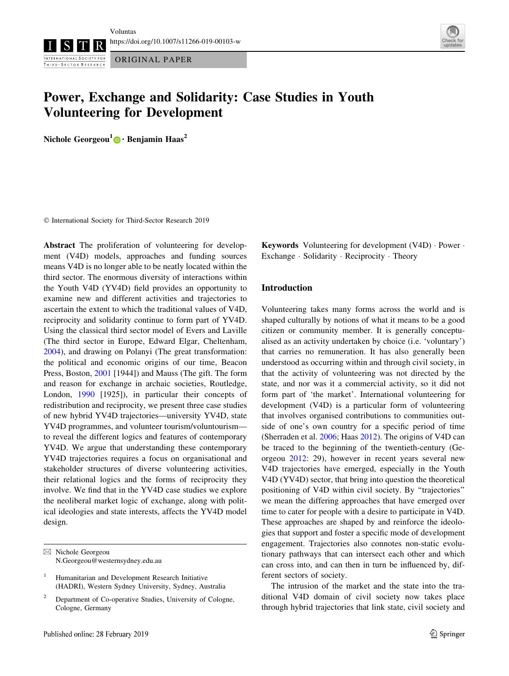Voluntas <https://doi.org/10.1007/s11266-019-00103-w>

INTERNATIONAL SOCIETY FOR THIRD - SECTOR RESEARCH

ORIGINAL PAPER



# Power, Exchange and Solidarity: Case Studies in Youth Volunteering for Development

Nichole Georgeou<sup>1</sup> • Benjamin Haas<sup>2</sup>

- International Society for Third-Sector Research 2019

Abstract The proliferation of volunteering for development (V4D) models, approaches and funding sources means V4D is no longer able to be neatly located within the third sector. The enormous diversity of interactions within the Youth V4D (YV4D) field provides an opportunity to examine new and different activities and trajectories to ascertain the extent to which the traditional values of V4D, reciprocity and solidarity continue to form part of YV4D. Using the classical third sector model of Evers and Laville (The third sector in Europe, Edward Elgar, Cheltenham, [2004\)](#page-12-0), and drawing on Polanyi (The great transformation: the political and economic origins of our time, Beacon Press, Boston, [2001](#page-13-0) [1944]) and Mauss (The gift. The form and reason for exchange in archaic societies, Routledge, London, [1990](#page-13-0) [1925]), in particular their concepts of redistribution and reciprocity, we present three case studies of new hybrid YV4D trajectories—university YV4D, state YV4D programmes, and volunteer tourism/voluntourism to reveal the different logics and features of contemporary YV4D. We argue that understanding these contemporary YV4D trajectories requires a focus on organisational and stakeholder structures of diverse volunteering activities, their relational logics and the forms of reciprocity they involve. We find that in the YV4D case studies we explore the neoliberal market logic of exchange, along with political ideologies and state interests, affects the YV4D model design.

 $\boxtimes$  Nichole Georgeou N.Georgeou@westernsydney.edu.au **Keywords** Volunteering for development  $(V4D) \cdot Power \cdot$ Exchange - Solidarity - Reciprocity - Theory

# Introduction

Volunteering takes many forms across the world and is shaped culturally by notions of what it means to be a good citizen or community member. It is generally conceptualised as an activity undertaken by choice (i.e. 'voluntary') that carries no remuneration. It has also generally been understood as occurring within and through civil society, in that the activity of volunteering was not directed by the state, and nor was it a commercial activity, so it did not form part of 'the market'. International volunteering for development (V4D) is a particular form of volunteering that involves organised contributions to communities outside of one's own country for a specific period of time (Sherraden et al. [2006](#page-13-0); Haas [2012\)](#page-12-0). The origins of V4D can be traced to the beginning of the twentieth-century (Georgeou [2012:](#page-12-0) 29), however in recent years several new V4D trajectories have emerged, especially in the Youth V4D (YV4D) sector, that bring into question the theoretical positioning of V4D within civil society. By ''trajectories'' we mean the differing approaches that have emerged over time to cater for people with a desire to participate in V4D. These approaches are shaped by and reinforce the ideologies that support and foster a specific mode of development engagement. Trajectories also connotes non-static evolutionary pathways that can intersect each other and which can cross into, and can then in turn be influenced by, different sectors of society.

The intrusion of the market and the state into the traditional V4D domain of civil society now takes place through hybrid trajectories that link state, civil society and

Humanitarian and Development Research Initiative (HADRI), Western Sydney University, Sydney, Australia

<sup>&</sup>lt;sup>2</sup> Department of Co-operative Studies, University of Cologne, Cologne, Germany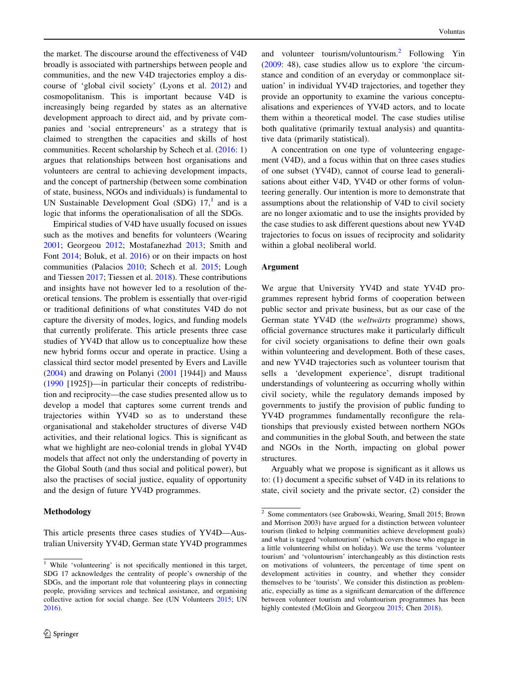the market. The discourse around the effectiveness of V4D broadly is associated with partnerships between people and communities, and the new V4D trajectories employ a discourse of 'global civil society' (Lyons et al. [2012\)](#page-13-0) and cosmopolitanism. This is important because V4D is increasingly being regarded by states as an alternative development approach to direct aid, and by private companies and 'social entrepreneurs' as a strategy that is claimed to strengthen the capacities and skills of host communities. Recent scholarship by Schech et al. ([2016:](#page-13-0) 1) argues that relationships between host organisations and volunteers are central to achieving development impacts, and the concept of partnership (between some combination of state, business, NGOs and individuals) is fundamental to UN Sustainable Development Goal (SDG)  $17<sup>1</sup>$  and is a logic that informs the operationalisation of all the SDGs.

Empirical studies of V4D have usually focused on issues such as the motives and benefits for volunteers (Wearing [2001;](#page-13-0) Georgeou [2012](#page-12-0); Mostafanezhad [2013;](#page-13-0) Smith and Font [2014](#page-13-0); Boluk, et al. [2016](#page-12-0)) or on their impacts on host communities (Palacios [2010;](#page-13-0) Schech et al. [2015;](#page-13-0) Lough and Tiessen [2017](#page-13-0); Tiessen et al. [2018\)](#page-13-0). These contributions and insights have not however led to a resolution of theoretical tensions. The problem is essentially that over-rigid or traditional definitions of what constitutes V4D do not capture the diversity of modes, logics, and funding models that currently proliferate. This article presents three case studies of YV4D that allow us to conceptualize how these new hybrid forms occur and operate in practice. Using a classical third sector model presented by Evers and Laville  $(2004)$  $(2004)$  and drawing on Polanyi  $(2001$  [1944]) and Mauss [\(1990](#page-13-0) [1925])—in particular their concepts of redistribution and reciprocity—the case studies presented allow us to develop a model that captures some current trends and trajectories within YV4D so as to understand these organisational and stakeholder structures of diverse V4D activities, and their relational logics. This is significant as what we highlight are neo-colonial trends in global YV4D models that affect not only the understanding of poverty in the Global South (and thus social and political power), but also the practises of social justice, equality of opportunity and the design of future YV4D programmes.

## Methodology

This article presents three cases studies of YV4D—Australian University YV4D, German state YV4D programmes

and volunteer tourism/voluntourism.<sup>2</sup> Following Yin [\(2009](#page-13-0): 48), case studies allow us to explore 'the circumstance and condition of an everyday or commonplace situation' in individual YV4D trajectories, and together they provide an opportunity to examine the various conceptualisations and experiences of YV4D actors, and to locate them within a theoretical model. The case studies utilise both qualitative (primarily textual analysis) and quantitative data (primarily statistical).

A concentration on one type of volunteering engagement (V4D), and a focus within that on three cases studies of one subset (YV4D), cannot of course lead to generalisations about either V4D, YV4D or other forms of volunteering generally. Our intention is more to demonstrate that assumptions about the relationship of V4D to civil society are no longer axiomatic and to use the insights provided by the case studies to ask different questions about new YV4D trajectories to focus on issues of reciprocity and solidarity within a global neoliberal world.

#### Argument

We argue that University YV4D and state YV4D programmes represent hybrid forms of cooperation between public sector and private business, but as our case of the German state YV4D (the *weltwärts* programme) shows, official governance structures make it particularly difficult for civil society organisations to define their own goals within volunteering and development. Both of these cases, and new YV4D trajectories such as volunteer tourism that sells a 'development experience', disrupt traditional understandings of volunteering as occurring wholly within civil society, while the regulatory demands imposed by governments to justify the provision of public funding to YV4D programmes fundamentally reconfigure the relationships that previously existed between northern NGOs and communities in the global South, and between the state and NGOs in the North, impacting on global power structures.

Arguably what we propose is significant as it allows us to: (1) document a specific subset of V4D in its relations to state, civil society and the private sector, (2) consider the

<sup>&</sup>lt;sup>1</sup> While 'volunteering' is not specifically mentioned in this target, SDG 17 acknowledges the centrality of people's ownership of the SDGs, and the important role that volunteering plays in connecting people, providing services and technical assistance, and organising collective action for social change. See (UN Volunteers [2015;](#page-13-0) UN [2016\)](#page-13-0).

 $\overline{2}$  Some commentators (see Grabowski, Wearing, Small 2015; Brown and Morrison 2003) have argued for a distinction between volunteer tourism (linked to helping communities achieve development goals) and what is tagged 'voluntourism' (which covers those who engage in a little volunteering whilst on holiday). We use the terms 'volunteer tourism' and 'voluntourism' interchangeably as this distinction rests on motivations of volunteers, the percentage of time spent on development activities in country, and whether they consider themselves to be 'tourists'. We consider this distinction as problematic, especially as time as a significant demarcation of the difference between volunteer tourism and voluntourism programmes has been highly contested (McGloin and Georgeou [2015](#page-13-0); Chen [2018](#page-12-0)).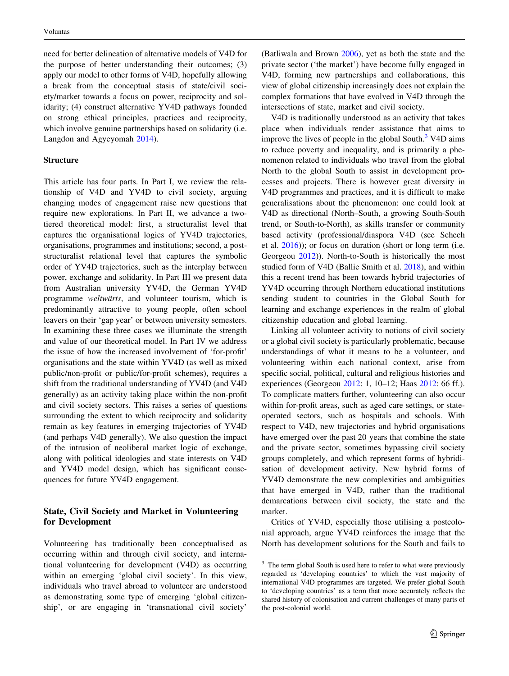need for better delineation of alternative models of V4D for the purpose of better understanding their outcomes; (3) apply our model to other forms of V4D, hopefully allowing a break from the conceptual stasis of state/civil society/market towards a focus on power, reciprocity and solidarity; (4) construct alternative YV4D pathways founded on strong ethical principles, practices and reciprocity, which involve genuine partnerships based on solidarity (i.e. Langdon and Agyeyomah [2014\)](#page-12-0).

## Structure

This article has four parts. In Part I, we review the relationship of V4D and YV4D to civil society, arguing changing modes of engagement raise new questions that require new explorations. In Part II, we advance a twotiered theoretical model: first, a structuralist level that captures the organisational logics of YV4D trajectories, organisations, programmes and institutions; second, a poststructuralist relational level that captures the symbolic order of YV4D trajectories, such as the interplay between power, exchange and solidarity. In Part III we present data from Australian university YV4D, the German YV4D programme weltwärts, and volunteer tourism, which is predominantly attractive to young people, often school leavers on their 'gap year' or between university semesters. In examining these three cases we illuminate the strength and value of our theoretical model. In Part IV we address the issue of how the increased involvement of 'for-profit' organisations and the state within YV4D (as well as mixed public/non-profit or public/for-profit schemes), requires a shift from the traditional understanding of YV4D (and V4D generally) as an activity taking place within the non-profit and civil society sectors. This raises a series of questions surrounding the extent to which reciprocity and solidarity remain as key features in emerging trajectories of YV4D (and perhaps V4D generally). We also question the impact of the intrusion of neoliberal market logic of exchange, along with political ideologies and state interests on V4D and YV4D model design, which has significant consequences for future YV4D engagement.

# State, Civil Society and Market in Volunteering for Development

Volunteering has traditionally been conceptualised as occurring within and through civil society, and international volunteering for development (V4D) as occurring within an emerging 'global civil society'. In this view, individuals who travel abroad to volunteer are understood as demonstrating some type of emerging 'global citizenship', or are engaging in 'transnational civil society' (Batliwala and Brown [2006](#page-12-0)), yet as both the state and the private sector ('the market') have become fully engaged in V4D, forming new partnerships and collaborations, this view of global citizenship increasingly does not explain the complex formations that have evolved in V4D through the intersections of state, market and civil society.

V4D is traditionally understood as an activity that takes place when individuals render assistance that aims to improve the lives of people in the global South. $3$  V4D aims to reduce poverty and inequality, and is primarily a phenomenon related to individuals who travel from the global North to the global South to assist in development processes and projects. There is however great diversity in V4D programmes and practices, and it is difficult to make generalisations about the phenomenon: one could look at V4D as directional (North–South, a growing South-South trend, or South-to-North), as skills transfer or community based activity (professional/diaspora V4D (see Schech et al. [2016\)](#page-13-0)); or focus on duration (short or long term (i.e. Georgeou [2012\)](#page-12-0)). North-to-South is historically the most studied form of V4D (Ballie Smith et al. [2018\)](#page-12-0), and within this a recent trend has been towards hybrid trajectories of YV4D occurring through Northern educational institutions sending student to countries in the Global South for learning and exchange experiences in the realm of global citizenship education and global learning.

Linking all volunteer activity to notions of civil society or a global civil society is particularly problematic, because understandings of what it means to be a volunteer, and volunteering within each national context, arise from specific social, political, cultural and religious histories and experiences (Georgeou [2012:](#page-12-0) 1, 10–12; Haas [2012:](#page-12-0) 66 ff.). To complicate matters further, volunteering can also occur within for-profit areas, such as aged care settings, or stateoperated sectors, such as hospitals and schools. With respect to V4D, new trajectories and hybrid organisations have emerged over the past 20 years that combine the state and the private sector, sometimes bypassing civil society groups completely, and which represent forms of hybridisation of development activity. New hybrid forms of YV4D demonstrate the new complexities and ambiguities that have emerged in V4D, rather than the traditional demarcations between civil society, the state and the market.

Critics of YV4D, especially those utilising a postcolonial approach, argue YV4D reinforces the image that the North has development solutions for the South and fails to

<sup>&</sup>lt;sup>3</sup> The term global South is used here to refer to what were previously regarded as 'developing countries' to which the vast majority of international V4D programmes are targeted. We prefer global South to 'developing countries' as a term that more accurately reflects the shared history of colonisation and current challenges of many parts of the post-colonial world.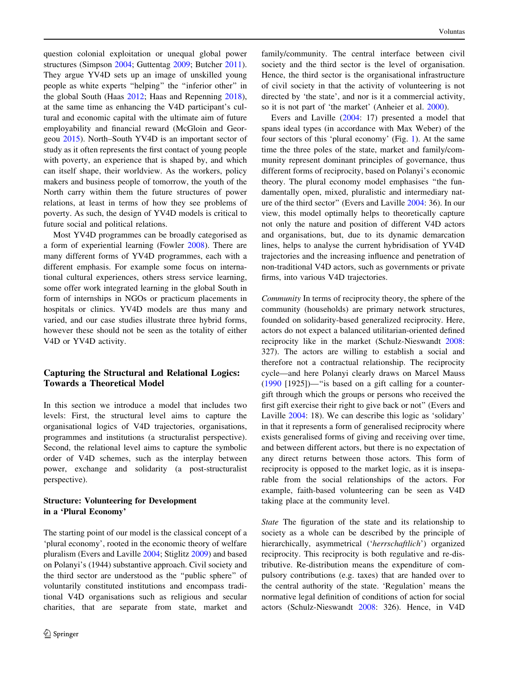question colonial exploitation or unequal global power structures (Simpson [2004](#page-13-0); Guttentag [2009;](#page-12-0) Butcher [2011](#page-12-0)). They argue YV4D sets up an image of unskilled young people as white experts ''helping'' the ''inferior other'' in the global South (Haas [2012;](#page-12-0) Haas and Repenning [2018](#page-12-0)), at the same time as enhancing the V4D participant's cultural and economic capital with the ultimate aim of future employability and financial reward (McGloin and Georgeou [2015\)](#page-13-0). North–South YV4D is an important sector of study as it often represents the first contact of young people with poverty, an experience that is shaped by, and which can itself shape, their worldview. As the workers, policy makers and business people of tomorrow, the youth of the North carry within them the future structures of power relations, at least in terms of how they see problems of poverty. As such, the design of YV4D models is critical to future social and political relations.

Most YV4D programmes can be broadly categorised as a form of experiential learning (Fowler [2008\)](#page-12-0). There are many different forms of YV4D programmes, each with a different emphasis. For example some focus on international cultural experiences, others stress service learning, some offer work integrated learning in the global South in form of internships in NGOs or practicum placements in hospitals or clinics. YV4D models are thus many and varied, and our case studies illustrate three hybrid forms, however these should not be seen as the totality of either V4D or YV4D activity.

# Capturing the Structural and Relational Logics: Towards a Theoretical Model

In this section we introduce a model that includes two levels: First, the structural level aims to capture the organisational logics of V4D trajectories, organisations, programmes and institutions (a structuralist perspective). Second, the relational level aims to capture the symbolic order of V4D schemes, such as the interplay between power, exchange and solidarity (a post-structuralist perspective).

# Structure: Volunteering for Development in a 'Plural Economy'

The starting point of our model is the classical concept of a 'plural economy', rooted in the economic theory of welfare pluralism (Evers and Laville [2004](#page-12-0); Stiglitz [2009\)](#page-13-0) and based on Polanyi's (1944) substantive approach. Civil society and the third sector are understood as the ''public sphere'' of voluntarily constituted institutions and encompass traditional V4D organisations such as religious and secular charities, that are separate from state, market and

family/community. The central interface between civil society and the third sector is the level of organisation. Hence, the third sector is the organisational infrastructure of civil society in that the activity of volunteering is not directed by 'the state', and nor is it a commercial activity, so it is not part of 'the market' (Anheier et al. [2000\)](#page-12-0).

Evers and Laville [\(2004](#page-12-0): 17) presented a model that spans ideal types (in accordance with Max Weber) of the four sectors of this 'plural economy' (Fig. [1](#page-4-0)). At the same time the three poles of the state, market and family/community represent dominant principles of governance, thus different forms of reciprocity, based on Polanyi's economic theory. The plural economy model emphasises ''the fundamentally open, mixed, pluralistic and intermediary nature of the third sector'' (Evers and Laville [2004:](#page-12-0) 36). In our view, this model optimally helps to theoretically capture not only the nature and position of different V4D actors and organisations, but, due to its dynamic demarcation lines, helps to analyse the current hybridisation of YV4D trajectories and the increasing influence and penetration of non-traditional V4D actors, such as governments or private firms, into various V4D trajectories.

Community In terms of reciprocity theory, the sphere of the community (households) are primary network structures, founded on solidarity-based generalized reciprocity. Here, actors do not expect a balanced utilitarian-oriented defined reciprocity like in the market (Schulz-Nieswandt [2008](#page-13-0): 327). The actors are willing to establish a social and therefore not a contractual relationship. The reciprocity cycle—and here Polanyi clearly draws on Marcel Mauss [\(1990](#page-13-0) [1925])—''is based on a gift calling for a countergift through which the groups or persons who received the first gift exercise their right to give back or not'' (Evers and Laville [2004:](#page-12-0) 18). We can describe this logic as 'solidary' in that it represents a form of generalised reciprocity where exists generalised forms of giving and receiving over time, and between different actors, but there is no expectation of any direct returns between those actors. This form of reciprocity is opposed to the market logic, as it is inseparable from the social relationships of the actors. For example, faith-based volunteering can be seen as V4D taking place at the community level.

State The figuration of the state and its relationship to society as a whole can be described by the principle of hierarchically, asymmetrical ('herrschaftlich') organized reciprocity. This reciprocity is both regulative and re-distributive. Re-distribution means the expenditure of compulsory contributions (e.g. taxes) that are handed over to the central authority of the state. 'Regulation' means the normative legal definition of conditions of action for social actors (Schulz-Nieswandt [2008:](#page-13-0) 326). Hence, in V4D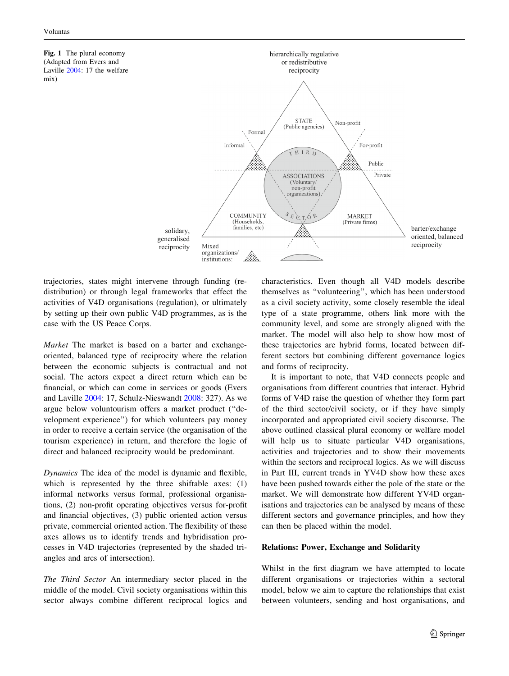<span id="page-4-0"></span>Fig. 1 The plural economy (Adapted from Evers and Laville [2004:](#page-12-0) 17 the welfare mix)



trajectories, states might intervene through funding (redistribution) or through legal frameworks that effect the activities of V4D organisations (regulation), or ultimately by setting up their own public V4D programmes, as is the case with the US Peace Corps.

Market The market is based on a barter and exchangeoriented, balanced type of reciprocity where the relation between the economic subjects is contractual and not social. The actors expect a direct return which can be financial, or which can come in services or goods (Evers and Laville [2004:](#page-12-0) 17, Schulz-Nieswandt [2008](#page-13-0): 327). As we argue below voluntourism offers a market product (''development experience'') for which volunteers pay money in order to receive a certain service (the organisation of the tourism experience) in return, and therefore the logic of direct and balanced reciprocity would be predominant.

Dynamics The idea of the model is dynamic and flexible, which is represented by the three shiftable axes: (1) informal networks versus formal, professional organisations, (2) non-profit operating objectives versus for-profit and financial objectives, (3) public oriented action versus private, commercial oriented action. The flexibility of these axes allows us to identify trends and hybridisation processes in V4D trajectories (represented by the shaded triangles and arcs of intersection).

The Third Sector An intermediary sector placed in the middle of the model. Civil society organisations within this sector always combine different reciprocal logics and characteristics. Even though all V4D models describe themselves as ''volunteering'', which has been understood as a civil society activity, some closely resemble the ideal type of a state programme, others link more with the community level, and some are strongly aligned with the market. The model will also help to show how most of these trajectories are hybrid forms, located between different sectors but combining different governance logics and forms of reciprocity.

It is important to note, that V4D connects people and organisations from different countries that interact. Hybrid forms of V4D raise the question of whether they form part of the third sector/civil society, or if they have simply incorporated and appropriated civil society discourse. The above outlined classical plural economy or welfare model will help us to situate particular V4D organisations, activities and trajectories and to show their movements within the sectors and reciprocal logics. As we will discuss in Part III, current trends in YV4D show how these axes have been pushed towards either the pole of the state or the market. We will demonstrate how different YV4D organisations and trajectories can be analysed by means of these different sectors and governance principles, and how they can then be placed within the model.

# Relations: Power, Exchange and Solidarity

Whilst in the first diagram we have attempted to locate different organisations or trajectories within a sectoral model, below we aim to capture the relationships that exist between volunteers, sending and host organisations, and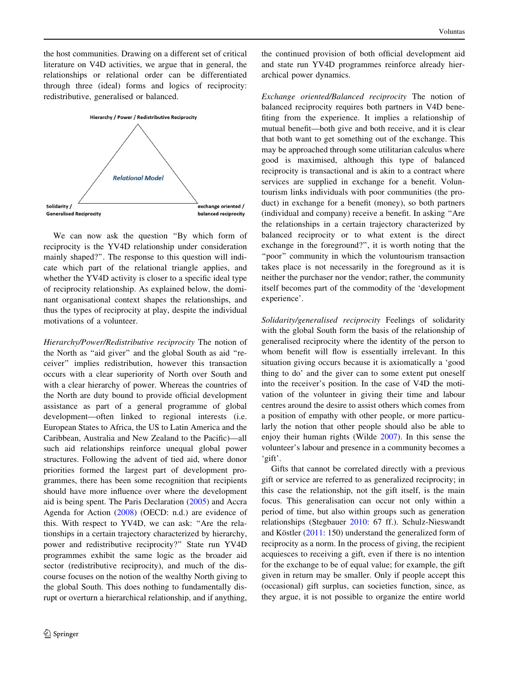the host communities. Drawing on a different set of critical literature on V4D activities, we argue that in general, the relationships or relational order can be differentiated through three (ideal) forms and logics of reciprocity: redistributive, generalised or balanced.



We can now ask the question ''By which form of reciprocity is the YV4D relationship under consideration mainly shaped?''. The response to this question will indicate which part of the relational triangle applies, and whether the YV4D activity is closer to a specific ideal type of reciprocity relationship. As explained below, the dominant organisational context shapes the relationships, and thus the types of reciprocity at play, despite the individual motivations of a volunteer.

Hierarchy/Power/Redistributive reciprocity The notion of the North as ''aid giver'' and the global South as aid ''receiver'' implies redistribution, however this transaction occurs with a clear superiority of North over South and with a clear hierarchy of power. Whereas the countries of the North are duty bound to provide official development assistance as part of a general programme of global development—often linked to regional interests (i.e. European States to Africa, the US to Latin America and the Caribbean, Australia and New Zealand to the Pacific)—all such aid relationships reinforce unequal global power structures. Following the advent of tied aid, where donor priorities formed the largest part of development programmes, there has been some recognition that recipients should have more influence over where the development aid is being spent. The Paris Declaration ([2005\)](#page-13-0) and Accra Agenda for Action ([2008\)](#page-13-0) (OECD: n.d.) are evidence of this. With respect to YV4D, we can ask: ''Are the relationships in a certain trajectory characterized by hierarchy, power and redistributive reciprocity?'' State run YV4D programmes exhibit the same logic as the broader aid sector (redistributive reciprocity), and much of the discourse focuses on the notion of the wealthy North giving to the global South. This does nothing to fundamentally disrupt or overturn a hierarchical relationship, and if anything,

the continued provision of both official development aid and state run YV4D programmes reinforce already hierarchical power dynamics.

Exchange oriented/Balanced reciprocity The notion of balanced reciprocity requires both partners in V4D benefiting from the experience. It implies a relationship of mutual benefit—both give and both receive, and it is clear that both want to get something out of the exchange. This may be approached through some utilitarian calculus where good is maximised, although this type of balanced reciprocity is transactional and is akin to a contract where services are supplied in exchange for a benefit. Voluntourism links individuals with poor communities (the product) in exchange for a benefit (money), so both partners (individual and company) receive a benefit. In asking ''Are the relationships in a certain trajectory characterized by balanced reciprocity or to what extent is the direct exchange in the foreground?'', it is worth noting that the "poor" community in which the voluntourism transaction takes place is not necessarily in the foreground as it is neither the purchaser nor the vendor; rather, the community itself becomes part of the commodity of the 'development experience'.

Solidarity/generalised reciprocity Feelings of solidarity with the global South form the basis of the relationship of generalised reciprocity where the identity of the person to whom benefit will flow is essentially irrelevant. In this situation giving occurs because it is axiomatically a 'good thing to do' and the giver can to some extent put oneself into the receiver's position. In the case of V4D the motivation of the volunteer in giving their time and labour centres around the desire to assist others which comes from a position of empathy with other people, or more particularly the notion that other people should also be able to enjoy their human rights (Wilde [2007](#page-13-0)). In this sense the volunteer's labour and presence in a community becomes a 'gift'.

Gifts that cannot be correlated directly with a previous gift or service are referred to as generalized reciprocity; in this case the relationship, not the gift itself, is the main focus. This generalisation can occur not only within a period of time, but also within groups such as generation relationships (Stegbauer [2010:](#page-13-0) 67 ff.). Schulz-Nieswandt and Köstler  $(2011: 150)$  $(2011: 150)$  understand the generalized form of reciprocity as a norm. In the process of giving, the recipient acquiesces to receiving a gift, even if there is no intention for the exchange to be of equal value; for example, the gift given in return may be smaller. Only if people accept this (occasional) gift surplus, can societies function, since, as they argue, it is not possible to organize the entire world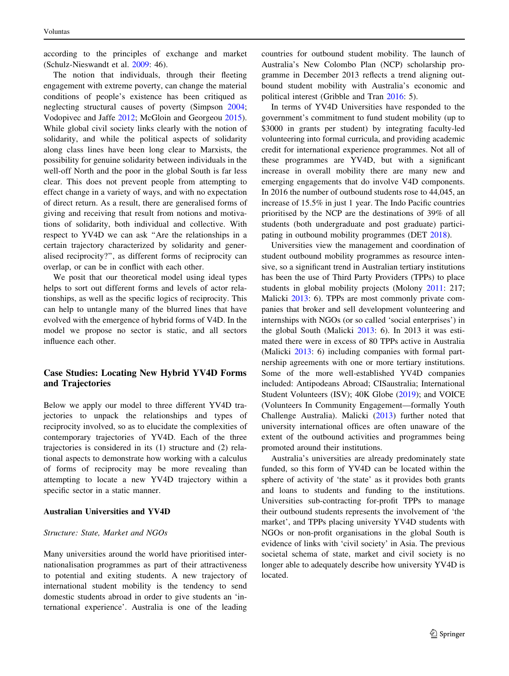according to the principles of exchange and market (Schulz-Nieswandt et al. [2009:](#page-13-0) 46).

The notion that individuals, through their fleeting engagement with extreme poverty, can change the material conditions of people's existence has been critiqued as neglecting structural causes of poverty (Simpson [2004](#page-13-0); Vodopivec and Jaffe [2012](#page-13-0); McGloin and Georgeou [2015](#page-13-0)). While global civil society links clearly with the notion of solidarity, and while the political aspects of solidarity along class lines have been long clear to Marxists, the possibility for genuine solidarity between individuals in the well-off North and the poor in the global South is far less clear. This does not prevent people from attempting to effect change in a variety of ways, and with no expectation of direct return. As a result, there are generalised forms of giving and receiving that result from notions and motivations of solidarity, both individual and collective. With respect to YV4D we can ask ''Are the relationships in a certain trajectory characterized by solidarity and generalised reciprocity?'', as different forms of reciprocity can overlap, or can be in conflict with each other.

We posit that our theoretical model using ideal types helps to sort out different forms and levels of actor relationships, as well as the specific logics of reciprocity. This can help to untangle many of the blurred lines that have evolved with the emergence of hybrid forms of V4D. In the model we propose no sector is static, and all sectors influence each other.

# Case Studies: Locating New Hybrid YV4D Forms and Trajectories

Below we apply our model to three different YV4D trajectories to unpack the relationships and types of reciprocity involved, so as to elucidate the complexities of contemporary trajectories of YV4D. Each of the three trajectories is considered in its (1) structure and (2) relational aspects to demonstrate how working with a calculus of forms of reciprocity may be more revealing than attempting to locate a new YV4D trajectory within a specific sector in a static manner.

## Australian Universities and YV4D

## Structure: State, Market and NGOs

Many universities around the world have prioritised internationalisation programmes as part of their attractiveness to potential and exiting students. A new trajectory of international student mobility is the tendency to send domestic students abroad in order to give students an 'international experience'. Australia is one of the leading countries for outbound student mobility. The launch of Australia's New Colombo Plan (NCP) scholarship programme in December 2013 reflects a trend aligning outbound student mobility with Australia's economic and political interest (Gribble and Tran [2016](#page-12-0): 5).

In terms of YV4D Universities have responded to the government's commitment to fund student mobility (up to \$3000 in grants per student) by integrating faculty-led volunteering into formal curricula, and providing academic credit for international experience programmes. Not all of these programmes are YV4D, but with a significant increase in overall mobility there are many new and emerging engagements that do involve V4D components. In 2016 the number of outbound students rose to 44,045, an increase of 15.5% in just 1 year. The Indo Pacific countries prioritised by the NCP are the destinations of 39% of all students (both undergraduate and post graduate) participating in outbound mobility programmes (DET [2018](#page-12-0)).

Universities view the management and coordination of student outbound mobility programmes as resource intensive, so a significant trend in Australian tertiary institutions has been the use of Third Party Providers (TPPs) to place students in global mobility projects (Molony [2011](#page-13-0): 217; Malicki [2013:](#page-13-0) 6). TPPs are most commonly private companies that broker and sell development volunteering and internships with NGOs (or so called 'social enterprises') in the global South (Malicki [2013](#page-13-0): 6). In 2013 it was estimated there were in excess of 80 TPPs active in Australia (Malicki [2013:](#page-13-0) 6) including companies with formal partnership agreements with one or more tertiary institutions. Some of the more well-established YV4D companies included: Antipodeans Abroad; CISaustralia; International Student Volunteers (ISV); 40K Globe ([2019\)](#page-12-0); and VOICE (Volunteers In Community Engagement—formally Youth Challenge Australia). Malicki [\(2013](#page-13-0)) further noted that university international offices are often unaware of the extent of the outbound activities and programmes being promoted around their institutions.

Australia's universities are already predominately state funded, so this form of YV4D can be located within the sphere of activity of 'the state' as it provides both grants and loans to students and funding to the institutions. Universities sub-contracting for-profit TPPs to manage their outbound students represents the involvement of 'the market', and TPPs placing university YV4D students with NGOs or non-profit organisations in the global South is evidence of links with 'civil society' in Asia. The previous societal schema of state, market and civil society is no longer able to adequately describe how university YV4D is located.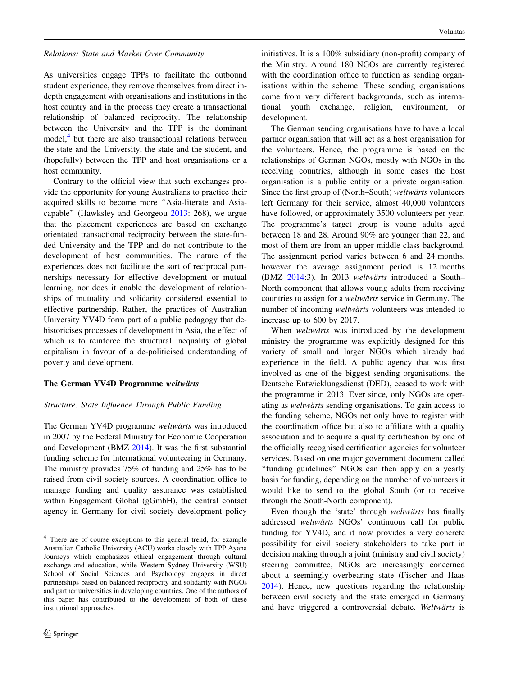Relations: State and Market Over Community

As universities engage TPPs to facilitate the outbound student experience, they remove themselves from direct indepth engagement with organisations and institutions in the host country and in the process they create a transactional relationship of balanced reciprocity. The relationship between the University and the TPP is the dominant model,<sup>4</sup> but there are also transactional relations between the state and the University, the state and the student, and (hopefully) between the TPP and host organisations or a host community.

Contrary to the official view that such exchanges provide the opportunity for young Australians to practice their acquired skills to become more ''Asia-literate and Asiacapable'' (Hawksley and Georgeou [2013:](#page-12-0) 268), we argue that the placement experiences are based on exchange orientated transactional reciprocity between the state-funded University and the TPP and do not contribute to the development of host communities. The nature of the experiences does not facilitate the sort of reciprocal partnerships necessary for effective development or mutual learning, nor does it enable the development of relationships of mutuality and solidarity considered essential to effective partnership. Rather, the practices of Australian University YV4D form part of a public pedagogy that dehistoricises processes of development in Asia, the effect of which is to reinforce the structural inequality of global capitalism in favour of a de-politicised understanding of poverty and development.

#### The German YV4D Programme weltwärts

#### Structure: State Influence Through Public Funding

The German YV4D programme *weltwärts* was introduced in 2007 by the Federal Ministry for Economic Cooperation and Development (BMZ [2014](#page-12-0)). It was the first substantial funding scheme for international volunteering in Germany. The ministry provides 75% of funding and 25% has to be raised from civil society sources. A coordination office to manage funding and quality assurance was established within Engagement Global (gGmbH), the central contact agency in Germany for civil society development policy

initiatives. It is a 100% subsidiary (non-profit) company of the Ministry. Around 180 NGOs are currently registered with the coordination office to function as sending organisations within the scheme. These sending organisations come from very different backgrounds, such as international youth exchange, religion, environment, or development.

The German sending organisations have to have a local partner organisation that will act as a host organisation for the volunteers. Hence, the programme is based on the relationships of German NGOs, mostly with NGOs in the receiving countries, although in some cases the host organisation is a public entity or a private organisation. Since the first group of (North–South) weltwärts volunteers left Germany for their service, almost 40,000 volunteers have followed, or approximately 3500 volunteers per year. The programme's target group is young adults aged between 18 and 28. Around 90% are younger than 22, and most of them are from an upper middle class background. The assignment period varies between 6 and 24 months, however the average assignment period is 12 months (BMZ  $2014:3$  $2014:3$ ). In 2013 weltwarts introduced a South– North component that allows young adults from receiving countries to assign for a *weltwarts* service in Germany. The number of incoming weltwärts volunteers was intended to increase up to 600 by 2017.

When weltwärts was introduced by the development ministry the programme was explicitly designed for this variety of small and larger NGOs which already had experience in the field. A public agency that was first involved as one of the biggest sending organisations, the Deutsche Entwicklungsdienst (DED), ceased to work with the programme in 2013. Ever since, only NGOs are operating as *weltwärts* sending organisations. To gain access to the funding scheme, NGOs not only have to register with the coordination office but also to affiliate with a quality association and to acquire a quality certification by one of the officially recognised certification agencies for volunteer services. Based on one major government document called ''funding guidelines'' NGOs can then apply on a yearly basis for funding, depending on the number of volunteers it would like to send to the global South (or to receive through the South-North component).

Even though the 'state' through weltwärts has finally addressed weltwärts NGOs' continuous call for public funding for YV4D, and it now provides a very concrete possibility for civil society stakeholders to take part in decision making through a joint (ministry and civil society) steering committee, NGOs are increasingly concerned about a seemingly overbearing state (Fischer and Haas [2014](#page-12-0)). Hence, new questions regarding the relationship between civil society and the state emerged in Germany and have triggered a controversial debate. Weltwärts is

<sup>4</sup> There are of course exceptions to this general trend, for example Australian Catholic University (ACU) works closely with TPP Ayana Journeys which emphasizes ethical engagement through cultural exchange and education, while Western Sydney University (WSU) School of Social Sciences and Psychology engages in direct partnerships based on balanced reciprocity and solidarity with NGOs and partner universities in developing countries. One of the authors of this paper has contributed to the development of both of these institutional approaches.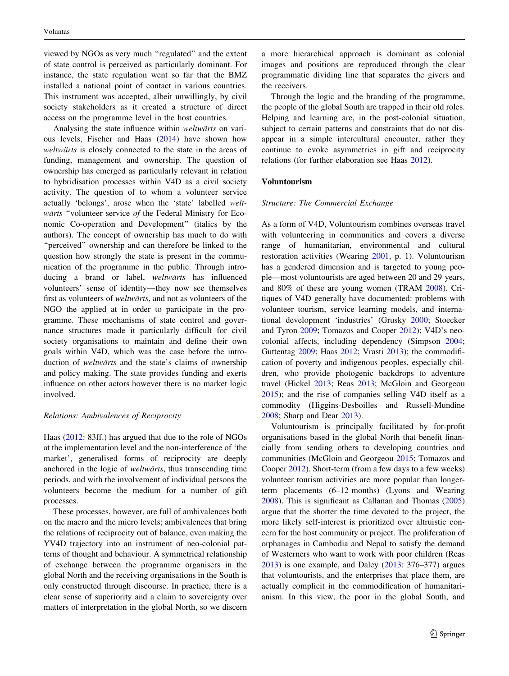viewed by NGOs as very much ''regulated'' and the extent of state control is perceived as particularly dominant. For instance, the state regulation went so far that the BMZ installed a national point of contact in various countries. This instrument was accepted, albeit unwillingly, by civil society stakeholders as it created a structure of direct access on the programme level in the host countries.

Analysing the state influence within *weltwärts* on various levels, Fischer and Haas ([2014\)](#page-12-0) have shown how weltwärts is closely connected to the state in the areas of funding, management and ownership. The question of ownership has emerged as particularly relevant in relation to hybridisation processes within V4D as a civil society activity. The question of to whom a volunteer service actually 'belongs', arose when the 'state' labelled weltwärts "volunteer service of the Federal Ministry for Economic Co-operation and Development'' (italics by the authors). The concept of ownership has much to do with ''perceived'' ownership and can therefore be linked to the question how strongly the state is present in the communication of the programme in the public. Through introducing a brand or label, weltwärts has influenced volunteers' sense of identity—they now see themselves first as volunteers of weltwärts, and not as volunteers of the NGO the applied at in order to participate in the programme. These mechanisms of state control and governance structures made it particularly difficult for civil society organisations to maintain and define their own goals within V4D, which was the case before the introduction of *weltwärts* and the state's claims of ownership and policy making. The state provides funding and exerts influence on other actors however there is no market logic involved.

#### Relations: Ambivalences of Reciprocity

Haas [\(2012](#page-12-0): 83ff.) has argued that due to the role of NGOs at the implementation level and the non-interference of 'the market', generalised forms of reciprocity are deeply anchored in the logic of *weltwärts*, thus transcending time periods, and with the involvement of individual persons the volunteers become the medium for a number of gift processes.

These processes, however, are full of ambivalences both on the macro and the micro levels; ambivalences that bring the relations of reciprocity out of balance, even making the YV4D trajectory into an instrument of neo-colonial patterns of thought and behaviour. A symmetrical relationship of exchange between the programme organisers in the global North and the receiving organisations in the South is only constructed through discourse. In practice, there is a clear sense of superiority and a claim to sovereignty over matters of interpretation in the global North, so we discern a more hierarchical approach is dominant as colonial images and positions are reproduced through the clear programmatic dividing line that separates the givers and the receivers.

Through the logic and the branding of the programme, the people of the global South are trapped in their old roles. Helping and learning are, in the post-colonial situation, subject to certain patterns and constraints that do not disappear in a simple intercultural encounter, rather they continue to evoke asymmetries in gift and reciprocity relations (for further elaboration see Haas [2012\)](#page-12-0).

## Voluntourism

## Structure: The Commercial Exchange

As a form of V4D, Voluntourism combines overseas travel with volunteering in communities and covers a diverse range of humanitarian, environmental and cultural restoration activities (Wearing [2001,](#page-13-0) p. 1). Voluntourism has a gendered dimension and is targeted to young people—most voluntourists are aged between 20 and 29 years, and 80% of these are young women (TRAM [2008](#page-13-0)). Critiques of V4D generally have documented: problems with volunteer tourism, service learning models, and international development 'industries' (Grusky [2000;](#page-12-0) Stoecker and Tyron [2009](#page-13-0); Tomazos and Cooper [2012](#page-13-0)); V4D's neocolonial affects, including dependency (Simpson [2004](#page-13-0); Guttentag [2009](#page-12-0); Haas [2012](#page-12-0); Vrasti [2013](#page-13-0)); the commodification of poverty and indigenous peoples, especially children, who provide photogenic backdrops to adventure travel (Hickel [2013;](#page-12-0) Reas [2013;](#page-13-0) McGloin and Georgeou [2015](#page-13-0)); and the rise of companies selling V4D itself as a commodity (Higgins-Desboilles and Russell-Mundine [2008](#page-12-0); Sharp and Dear [2013](#page-13-0)).

Voluntourism is principally facilitated by for-profit organisations based in the global North that benefit financially from sending others to developing countries and communities (McGloin and Georgeou [2015;](#page-13-0) Tomazos and Cooper [2012\)](#page-13-0). Short-term (from a few days to a few weeks) volunteer tourism activities are more popular than longerterm placements (6–12 months) (Lyons and Wearing [2008](#page-13-0)). This is significant as Callanan and Thomas ([2005\)](#page-12-0) argue that the shorter the time devoted to the project, the more likely self-interest is prioritized over altruistic concern for the host community or project. The proliferation of orphanages in Cambodia and Nepal to satisfy the demand of Westerners who want to work with poor children (Reas [2013](#page-13-0)) is one example, and Daley [\(2013:](#page-12-0) 376–377) argues that voluntourists, and the enterprises that place them, are actually complicit in the commodification of humanitarianism. In this view, the poor in the global South, and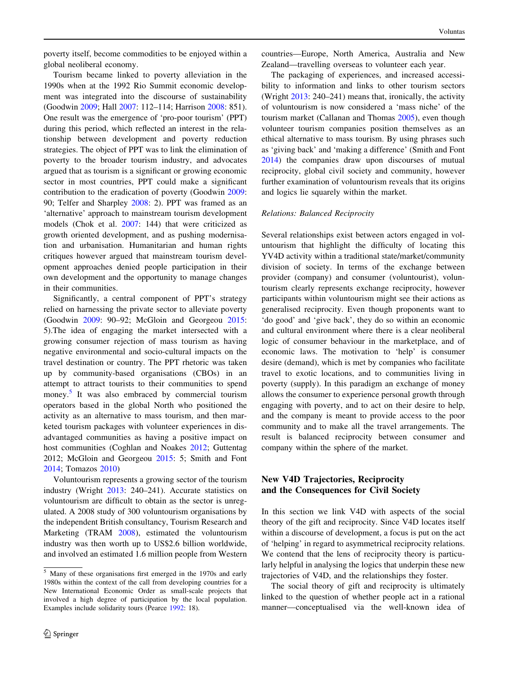poverty itself, become commodities to be enjoyed within a global neoliberal economy.

Tourism became linked to poverty alleviation in the 1990s when at the 1992 Rio Summit economic development was integrated into the discourse of sustainability (Goodwin [2009](#page-12-0); Hall [2007](#page-12-0): 112–114; Harrison [2008:](#page-12-0) 851). One result was the emergence of 'pro-poor tourism' (PPT) during this period, which reflected an interest in the relationship between development and poverty reduction strategies. The object of PPT was to link the elimination of poverty to the broader tourism industry, and advocates argued that as tourism is a significant or growing economic sector in most countries, PPT could make a significant contribution to the eradication of poverty (Goodwin [2009](#page-12-0): 90; Telfer and Sharpley [2008:](#page-13-0) 2). PPT was framed as an 'alternative' approach to mainstream tourism development models (Chok et al. [2007](#page-12-0): 144) that were criticized as growth oriented development, and as pushing modernisation and urbanisation. Humanitarian and human rights critiques however argued that mainstream tourism development approaches denied people participation in their own development and the opportunity to manage changes in their communities.

Significantly, a central component of PPT's strategy relied on harnessing the private sector to alleviate poverty (Goodwin [2009](#page-12-0): 90–92; McGloin and Georgeou [2015](#page-13-0): 5).The idea of engaging the market intersected with a growing consumer rejection of mass tourism as having negative environmental and socio-cultural impacts on the travel destination or country. The PPT rhetoric was taken up by community-based organisations (CBOs) in an attempt to attract tourists to their communities to spend money.<sup>5</sup> It was also embraced by commercial tourism operators based in the global North who positioned the activity as an alternative to mass tourism, and then marketed tourism packages with volunteer experiences in disadvantaged communities as having a positive impact on host communities (Coghlan and Noakes [2012;](#page-12-0) Guttentag 2012; McGloin and Georgeou [2015:](#page-13-0) 5; Smith and Font [2014;](#page-13-0) Tomazos [2010](#page-13-0))

Voluntourism represents a growing sector of the tourism industry (Wright [2013](#page-13-0): 240–241). Accurate statistics on voluntourism are difficult to obtain as the sector is unregulated. A 2008 study of 300 voluntourism organisations by the independent British consultancy, Tourism Research and Marketing (TRAM [2008\)](#page-13-0), estimated the voluntourism industry was then worth up to US\$2.6 billion worldwide, and involved an estimated 1.6 million people from Western countries—Europe, North America, Australia and New Zealand—travelling overseas to volunteer each year.

The packaging of experiences, and increased accessibility to information and links to other tourism sectors (Wright [2013:](#page-13-0) 240–241) means that, ironically, the activity of voluntourism is now considered a 'mass niche' of the tourism market (Callanan and Thomas [2005\)](#page-12-0), even though volunteer tourism companies position themselves as an ethical alternative to mass tourism. By using phrases such as 'giving back' and 'making a difference' (Smith and Font [2014](#page-13-0)) the companies draw upon discourses of mutual reciprocity, global civil society and community, however further examination of voluntourism reveals that its origins and logics lie squarely within the market.

## Relations: Balanced Reciprocity

Several relationships exist between actors engaged in voluntourism that highlight the difficulty of locating this YV4D activity within a traditional state/market/community division of society. In terms of the exchange between provider (company) and consumer (voluntourist), voluntourism clearly represents exchange reciprocity, however participants within voluntourism might see their actions as generalised reciprocity. Even though proponents want to 'do good' and 'give back', they do so within an economic and cultural environment where there is a clear neoliberal logic of consumer behaviour in the marketplace, and of economic laws. The motivation to 'help' is consumer desire (demand), which is met by companies who facilitate travel to exotic locations, and to communities living in poverty (supply). In this paradigm an exchange of money allows the consumer to experience personal growth through engaging with poverty, and to act on their desire to help, and the company is meant to provide access to the poor community and to make all the travel arrangements. The result is balanced reciprocity between consumer and company within the sphere of the market.

# New V4D Trajectories, Reciprocity and the Consequences for Civil Society

In this section we link V4D with aspects of the social theory of the gift and reciprocity. Since V4D locates itself within a discourse of development, a focus is put on the act of 'helping' in regard to asymmetrical reciprocity relations. We contend that the lens of reciprocity theory is particularly helpful in analysing the logics that underpin these new trajectories of V4D, and the relationships they foster.

The social theory of gift and reciprocity is ultimately linked to the question of whether people act in a rational manner—conceptualised via the well-known idea of

 $\frac{5}{3}$  Many of these organisations first emerged in the 1970s and early 1980s within the context of the call from developing countries for a New International Economic Order as small-scale projects that involved a high degree of participation by the local population. Examples include solidarity tours (Pearce [1992](#page-13-0): 18).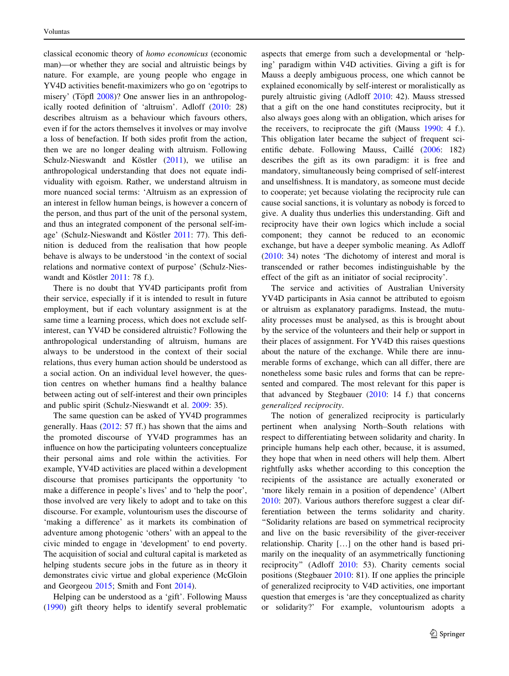classical economic theory of homo economicus (economic man)—or whether they are social and altruistic beings by nature. For example, are young people who engage in YV4D activities benefit-maximizers who go on 'egotrips to misery' (Töpfl [2008](#page-13-0))? One answer lies in an anthropologically rooted definition of 'altruism'. Adloff [\(2010:](#page-12-0) 28) describes altruism as a behaviour which favours others, even if for the actors themselves it involves or may involve a loss of benefaction. If both sides profit from the action, then we are no longer dealing with altruism. Following Schulz-Nieswandt and Köstler  $(2011)$  $(2011)$ , we utilise an anthropological understanding that does not equate individuality with egoism. Rather, we understand altruism in more nuanced social terms: 'Altruism as an expression of an interest in fellow human beings, is however a concern of the person, and thus part of the unit of the personal system, and thus an integrated component of the personal self-im-age' (Schulz-Nieswandt and Köstler [2011](#page-13-0): 77). This definition is deduced from the realisation that how people behave is always to be understood 'in the context of social relations and normative context of purpose' (Schulz-Nies-wandt and Köstler [2011](#page-13-0): 78 f.).

There is no doubt that YV4D participants profit from their service, especially if it is intended to result in future employment, but if each voluntary assignment is at the same time a learning process, which does not exclude selfinterest, can YV4D be considered altruistic? Following the anthropological understanding of altruism, humans are always to be understood in the context of their social relations, thus every human action should be understood as a social action. On an individual level however, the question centres on whether humans find a healthy balance between acting out of self-interest and their own principles and public spirit (Schulz-Nieswandt et al. [2009:](#page-13-0) 35).

The same question can be asked of YV4D programmes generally. Haas [\(2012](#page-12-0): 57 ff.) has shown that the aims and the promoted discourse of YV4D programmes has an influence on how the participating volunteers conceptualize their personal aims and role within the activities. For example, YV4D activities are placed within a development discourse that promises participants the opportunity 'to make a difference in people's lives' and to 'help the poor', those involved are very likely to adopt and to take on this discourse. For example, voluntourism uses the discourse of 'making a difference' as it markets its combination of adventure among photogenic 'others' with an appeal to the civic minded to engage in 'development' to end poverty. The acquisition of social and cultural capital is marketed as helping students secure jobs in the future as in theory it demonstrates civic virtue and global experience (McGloin and Georgeou [2015](#page-13-0); Smith and Font [2014](#page-13-0)).

Helping can be understood as a 'gift'. Following Mauss [\(1990](#page-13-0)) gift theory helps to identify several problematic aspects that emerge from such a developmental or 'helping' paradigm within V4D activities. Giving a gift is for Mauss a deeply ambiguous process, one which cannot be explained economically by self-interest or moralistically as purely altruistic giving (Adloff [2010](#page-12-0): 42). Mauss stressed that a gift on the one hand constitutes reciprocity, but it also always goes along with an obligation, which arises for the receivers, to reciprocate the gift (Mauss [1990:](#page-13-0) 4 f.). This obligation later became the subject of frequent sci-entific debate. Following Mauss, Caillé [\(2006](#page-12-0): 182) describes the gift as its own paradigm: it is free and mandatory, simultaneously being comprised of self-interest and unselfishness. It is mandatory, as someone must decide to cooperate; yet because violating the reciprocity rule can cause social sanctions, it is voluntary as nobody is forced to give. A duality thus underlies this understanding. Gift and reciprocity have their own logics which include a social component; they cannot be reduced to an economic exchange, but have a deeper symbolic meaning. As Adloff [\(2010](#page-12-0): 34) notes 'The dichotomy of interest and moral is transcended or rather becomes indistinguishable by the effect of the gift as an initiator of social reciprocity'.

The service and activities of Australian University YV4D participants in Asia cannot be attributed to egoism or altruism as explanatory paradigms. Instead, the mutuality processes must be analysed, as this is brought about by the service of the volunteers and their help or support in their places of assignment. For YV4D this raises questions about the nature of the exchange. While there are innumerable forms of exchange, which can all differ, there are nonetheless some basic rules and forms that can be represented and compared. The most relevant for this paper is that advanced by Stegbauer [\(2010](#page-13-0): 14 f.) that concerns generalized reciprocity.

The notion of generalized reciprocity is particularly pertinent when analysing North–South relations with respect to differentiating between solidarity and charity. In principle humans help each other, because, it is assumed, they hope that when in need others will help them. Albert rightfully asks whether according to this conception the recipients of the assistance are actually exonerated or 'more likely remain in a position of dependence' (Albert [2010](#page-12-0): 207). Various authors therefore suggest a clear differentiation between the terms solidarity and charity. ''Solidarity relations are based on symmetrical reciprocity and live on the basic reversibility of the giver-receiver relationship. Charity […] on the other hand is based primarily on the inequality of an asymmetrically functioning reciprocity'' (Adloff [2010](#page-12-0): 53). Charity cements social positions (Stegbauer [2010](#page-13-0): 81). If one applies the principle of generalized reciprocity to V4D activities, one important question that emerges is 'are they conceptualized as charity or solidarity?' For example, voluntourism adopts a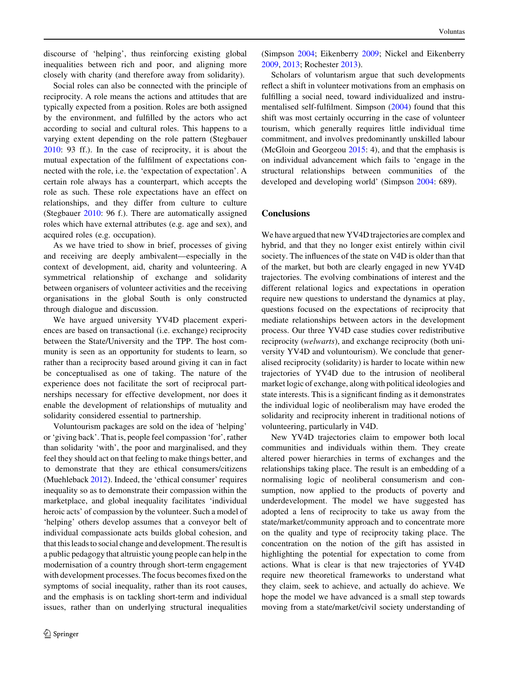discourse of 'helping', thus reinforcing existing global inequalities between rich and poor, and aligning more closely with charity (and therefore away from solidarity).

Social roles can also be connected with the principle of reciprocity. A role means the actions and attitudes that are typically expected from a position. Roles are both assigned by the environment, and fulfilled by the actors who act according to social and cultural roles. This happens to a varying extent depending on the role pattern (Stegbauer [2010:](#page-13-0) 93 ff.). In the case of reciprocity, it is about the mutual expectation of the fulfilment of expectations connected with the role, i.e. the 'expectation of expectation'. A certain role always has a counterpart, which accepts the role as such. These role expectations have an effect on relationships, and they differ from culture to culture (Stegbauer [2010:](#page-13-0) 96 f.). There are automatically assigned roles which have external attributes (e.g. age and sex), and acquired roles (e.g. occupation).

As we have tried to show in brief, processes of giving and receiving are deeply ambivalent—especially in the context of development, aid, charity and volunteering. A symmetrical relationship of exchange and solidarity between organisers of volunteer activities and the receiving organisations in the global South is only constructed through dialogue and discussion.

We have argued university YV4D placement experiences are based on transactional (i.e. exchange) reciprocity between the State/University and the TPP. The host community is seen as an opportunity for students to learn, so rather than a reciprocity based around giving it can in fact be conceptualised as one of taking. The nature of the experience does not facilitate the sort of reciprocal partnerships necessary for effective development, nor does it enable the development of relationships of mutuality and solidarity considered essential to partnership.

Voluntourism packages are sold on the idea of 'helping' or 'giving back'. That is, people feel compassion 'for', rather than solidarity 'with', the poor and marginalised, and they feel they should act on that feeling to make things better, and to demonstrate that they are ethical consumers/citizens (Muehleback [2012\)](#page-13-0). Indeed, the 'ethical consumer' requires inequality so as to demonstrate their compassion within the marketplace, and global inequality facilitates 'individual heroic acts' of compassion by the volunteer. Such a model of 'helping' others develop assumes that a conveyor belt of individual compassionate acts builds global cohesion, and that this leads to social change and development. The result is a public pedagogy that altruistic young people can help in the modernisation of a country through short-term engagement with development processes. The focus becomes fixed on the symptoms of social inequality, rather than its root causes, and the emphasis is on tackling short-term and individual issues, rather than on underlying structural inequalities

(Simpson [2004](#page-13-0); Eikenberry [2009;](#page-12-0) Nickel and Eikenberry [2009](#page-13-0), [2013](#page-13-0); Rochester [2013\)](#page-13-0).

Scholars of voluntarism argue that such developments reflect a shift in volunteer motivations from an emphasis on fulfilling a social need, toward individualized and instrumentalised self-fulfilment. Simpson ([2004\)](#page-13-0) found that this shift was most certainly occurring in the case of volunteer tourism, which generally requires little individual time commitment, and involves predominantly unskilled labour (McGloin and Georgeou [2015:](#page-13-0) 4), and that the emphasis is on individual advancement which fails to 'engage in the structural relationships between communities of the developed and developing world' (Simpson [2004:](#page-13-0) 689).

# **Conclusions**

We have argued that new YV4D trajectories are complex and hybrid, and that they no longer exist entirely within civil society. The influences of the state on V4D is older than that of the market, but both are clearly engaged in new YV4D trajectories. The evolving combinations of interest and the different relational logics and expectations in operation require new questions to understand the dynamics at play, questions focused on the expectations of reciprocity that mediate relationships between actors in the development process. Our three YV4D case studies cover redistributive reciprocity (welwarts), and exchange reciprocity (both university YV4D and voluntourism). We conclude that generalised reciprocity (solidarity) is harder to locate within new trajectories of YV4D due to the intrusion of neoliberal market logic of exchange, along with political ideologies and state interests. This is a significant finding as it demonstrates the individual logic of neoliberalism may have eroded the solidarity and reciprocity inherent in traditional notions of volunteering, particularly in V4D.

New YV4D trajectories claim to empower both local communities and individuals within them. They create altered power hierarchies in terms of exchanges and the relationships taking place. The result is an embedding of a normalising logic of neoliberal consumerism and consumption, now applied to the products of poverty and underdevelopment. The model we have suggested has adopted a lens of reciprocity to take us away from the state/market/community approach and to concentrate more on the quality and type of reciprocity taking place. The concentration on the notion of the gift has assisted in highlighting the potential for expectation to come from actions. What is clear is that new trajectories of YV4D require new theoretical frameworks to understand what they claim, seek to achieve, and actually do achieve. We hope the model we have advanced is a small step towards moving from a state/market/civil society understanding of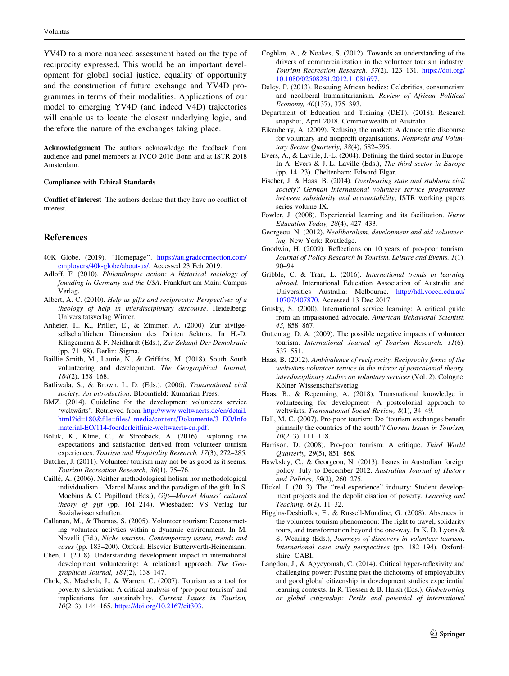<span id="page-12-0"></span>YV4D to a more nuanced assessment based on the type of reciprocity expressed. This would be an important development for global social justice, equality of opportunity and the construction of future exchange and YV4D programmes in terms of their modalities. Applications of our model to emerging YV4D (and indeed V4D) trajectories will enable us to locate the closest underlying logic, and therefore the nature of the exchanges taking place.

Acknowledgement The authors acknowledge the feedback from audience and panel members at IVCO 2016 Bonn and at ISTR 2018 Amsterdam.

#### Compliance with Ethical Standards

Conflict of interest The authors declare that they have no conflict of interest.

## References

- 40K Globe. (2019). ''Homepage''. [https://au.gradconnection.com/](https://au.gradconnection.com/employers/40k-globe/about-us/) [employers/40k-globe/about-us/](https://au.gradconnection.com/employers/40k-globe/about-us/). Accessed 23 Feb 2019.
- Adloff, F. (2010). Philanthropic action: A historical sociology of founding in Germany and the USA. Frankfurt am Main: Campus Verlag.
- Albert, A. C. (2010). Help as gifts and reciprocity: Perspectives of a theology of help in interdisciplinary discourse. Heidelberg: Universitätsverlag Winter.
- Anheier, H. K., Priller, E., & Zimmer, A. (2000). Zur zivilgesellschaftlichen Dimension des Dritten Sektors. In H.-D. Klingemann & F. Neidhardt (Eds.), Zur Zukunft Der Demokratie (pp. 71–98). Berlin: Sigma.
- Baillie Smith, M., Laurie, N., & Griffiths, M. (2018). South–South volunteering and development. The Geographical Journal, 184(2), 158–168.
- Batliwala, S., & Brown, L. D. (Eds.). (2006). Transnational civil society: An introduction. Bloomfield: Kumarian Press.
- BMZ. (2014). Guideline for the development volunteers service 'weltwärts'. Retrieved from [http://www.weltwaerts.de/en/detail.](http://www.weltwaerts.de/en/detail.html%3fid%3d180%26file%3dfiles/_media/content/Dokumente/3_EO/Infomaterial-EO/114-foerderleitlinie-weltwaerts-en.pdf) [html?id=180&file=files/\\_media/content/Dokumente/3\\_EO/Info](http://www.weltwaerts.de/en/detail.html%3fid%3d180%26file%3dfiles/_media/content/Dokumente/3_EO/Infomaterial-EO/114-foerderleitlinie-weltwaerts-en.pdf) [material-EO/114-foerderleitlinie-weltwaerts-en.pdf.](http://www.weltwaerts.de/en/detail.html%3fid%3d180%26file%3dfiles/_media/content/Dokumente/3_EO/Infomaterial-EO/114-foerderleitlinie-weltwaerts-en.pdf)
- Boluk, K., Kline, C., & Strooback, A. (2016). Exploring the expectations and satisfaction derived from volunteer tourism experiences. Tourism and Hospitality Research, 17(3), 272–285.
- Butcher, J. (2011). Volunteer tourism may not be as good as it seems. Tourism Recreation Research, 36(1), 75–76.
- Caille´, A. (2006). Neither methodological holism nor methodological individualism—Marcel Mauss and the paradigm of the gift. In S. Moebius & C. Papilloud (Eds.), Gift—Marcel Mauss' cultural theory of gift (pp. 161-214). Wiesbaden: VS Verlag für Sozialwissenschaften.
- Callanan, M., & Thomas, S. (2005). Volunteer tourism: Deconstructing volunteer activties within a dynamic environment. In M. Novelli (Ed.), Niche tourism: Contemporary issues, trends and cases (pp. 183–200). Oxford: Elsevier Butterworth-Heinemann.
- Chen, J. (2018). Understanding development impact in international development volunteering: A relational approach. The Geographical Journal, 184(2), 138–147.
- Chok, S., Macbeth, J., & Warren, C. (2007). Tourism as a tool for poverty slleviation: A critical analysis of 'pro-poor tourism' and implications for sustainability. Current Issues in Tourism, 10(2–3), 144–165. [https://doi.org/10.2167/cit303.](https://doi.org/10.2167/cit303)
- Coghlan, A., & Noakes, S. (2012). Towards an understanding of the drivers of commercialization in the volunteer tourism industry. Tourism Recreation Research, 37(2), 123–131. [https://doi.org/](https://doi.org/10.1080/02508281.2012.11081697) [10.1080/02508281.2012.11081697.](https://doi.org/10.1080/02508281.2012.11081697)
- Daley, P. (2013). Rescuing African bodies: Celebrities, consumerism and neoliberal humanitarianism. Review of African Political Economy, 40(137), 375–393.
- Department of Education and Training (DET). (2018). Research snapshot, April 2018. Commonwealth of Australia.
- Eikenberry, A. (2009). Refusing the market: A democratic discourse for voluntary and nonprofit organisations. Nonprofit and Voluntary Sector Quarterly, 38(4), 582–596.
- Evers, A., & Laville, J.-L. (2004). Defining the third sector in Europe. In A. Evers & J.-L. Laville (Eds.), The third sector in Europe (pp. 14–23). Cheltenham: Edward Elgar.
- Fischer, J. & Haas, B. (2014). Overbearing state and stubborn civil society? German International volunteer service programmes between subsidarity and accountability, ISTR working papers series volume IX.
- Fowler, J. (2008). Experiential learning and its facilitation. Nurse Education Today, 28(4), 427–433.
- Georgeou, N. (2012). Neoliberalism, development and aid volunteering. New York: Routledge.
- Goodwin, H. (2009). Reflections on 10 years of pro-poor tourism. Journal of Policy Research in Tourism, Leisure and Events, 1(1), 90–94.
- Gribble, C. & Tran, L. (2016). International trends in learning abroad. International Education Association of Australia and Universities Australia: Melbourne. [http://hdl.voced.edu.au/](http://hdl.voced.edu.au/10707/407870) [10707/407870](http://hdl.voced.edu.au/10707/407870). Accessed 13 Dec 2017.
- Grusky, S. (2000). International service learning: A critical guide from an impassioned advocate. American Behavioral Scientist, 43, 858–867.
- Guttentag, D. A. (2009). The possible negative impacts of volunteer tourism. International Journal of Tourism Research, 11(6), 537–551.
- Haas, B. (2012). Ambivalence of reciprocity. Reciprocity forms of the weltwärts-volunteer service in the mirror of postcolonial theory, interdisciplinary studies on voluntary services (Vol. 2). Cologne: Kölner Wissenschaftsverlag.
- Haas, B., & Repenning, A. (2018). Transnational knowledge in volunteering for development—A postcolonial approach to weltwärts. Transnational Social Review, 8(1), 34-49.
- Hall, M. C. (2007). Pro-poor tourism: Do 'tourism exchanges benefit primarily the countries of the south'? Current Issues in Tourism,  $10(2-3)$ ,  $111-118$ .
- Harrison, D. (2008). Pro-poor tourism: A critique. Third World Quarterly, 29(5), 851–868.
- Hawksley, C., & Georgeou, N. (2013). Issues in Australian foreign policy: July to December 2012. Australian Journal of History and Politics, 59(2), 260–275.
- Hickel, J. (2013). The "real experience" industry: Student development projects and the depoliticisation of poverty. Learning and Teaching, 6(2), 11–32.
- Higgins-Desbiolles, F., & Russell-Mundine, G. (2008). Absences in the volunteer tourism phenomenon: The right to travel, solidarity tours, and transformation beyond the one-way. In K. D. Lyons & S. Wearing (Eds.), Journeys of discovery in volunteer tourism: International case study perspectives (pp. 182–194). Oxfordshire: CABI.
- Langdon, J., & Agyeyomah, C. (2014). Critical hyper-reflexivity and challenging power: Pushing past the dichotomy of employability and good global citizenship in development studies experiential learning contexts. In R. Tiessen & B. Huish (Eds.), Globetrotting or global citizenship: Perils and potential of international